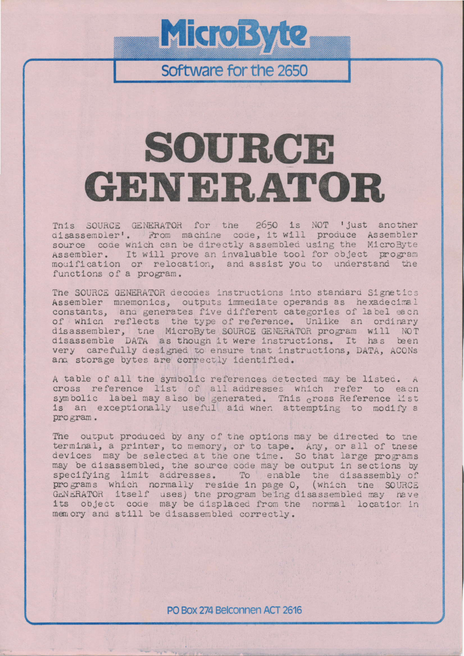## **MicroByte**

Software for the 2650

## SOURCE **GENERATOR**

This SOURCE GENERATOR for the 2650 is NOT 'just another disassembler'. From machine code, it will produce Assembler source code which can be directly assembled using the MicroByte Assembler. It will prove an invaluable tool for object program mouification or relocation, and assist you to understand the functions of a program.

The SOURCE GENERATOR decodes instructions into standard Signetics Assembler mnemonics, outputs immediate operands as hexadecimal constants, and generates five different categories of label each of which reflects the type of reference. Unlike an ordinary disassembler, the MicroByte SOURCE GENERATOR program will NOT disassemble DATA as though it were instructions. It has been very carefully designed to ensure that instructions, DATA, ACONs ana storage bytes are correctly identified.

A table of all the symbolic references detected may be listed. A cross reference list of all addresses which refer to each symbolic label may also be generated. This cross Reference list is an exceptionally useful aid when attempting to modify a program.

The output produced by any of the options may be directed to the terminal, a printer, to memory, or to tape. Any, or all of these devices may be selected at the one time. So that large programs may be disassembled, the source code may be output in sections by specifying limit addresses. To enable the disassembly of programs which normally reside in page 0, (which the SOURCE GENERATOR itself uses) the program being disassembled may have<br>its object code may be displaced from the normal location in memory and still be disassembled correctly.

PO Box 274 Belconnen ACT 2616